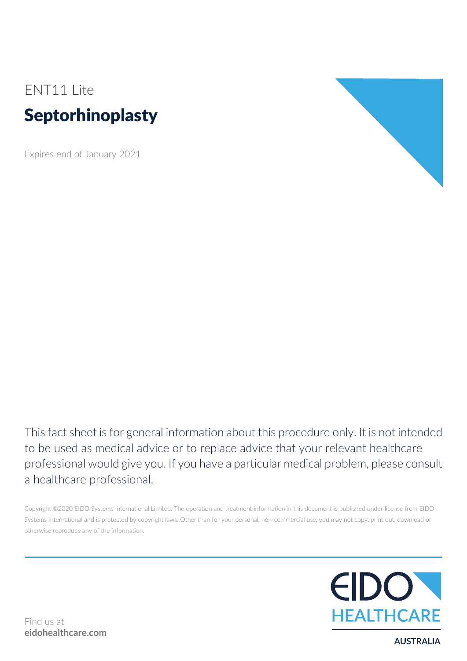# ENT11 Lite Septorhinoplasty

Expires end of January 2021



This fact sheet is for general information about this procedure only. It is not intended to be used as medical advice or to replace advice that your relevant healthcare professional would give you. If you have a particular medical problem, please consult a healthcare professional.

Copyright ©2020 EIDO Systems International Limited. The operation and treatment information in this document is published under license from EIDO Systems International and is protected by copyright laws. Other than for your personal, non-commercial use, you may not copy, print out, download or otherwise reproduce any of the information.



**AUSTRALIA**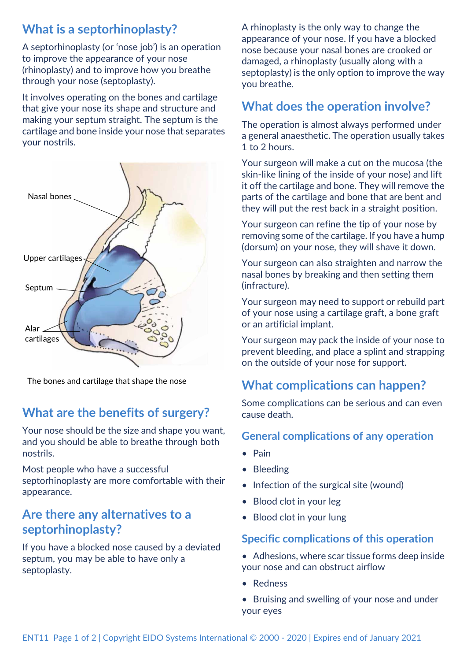## **What is a septorhinoplasty?**

A septorhinoplasty (or 'nose job') is an operation to improve the appearance of your nose (rhinoplasty) and to improve how you breathe through your nose (septoplasty).

It involves operating on the bones and cartilage that give your nose its shape and structure and making your septum straight. The septum is the cartilage and bone inside your nose that separates your nostrils.



The bones and cartilage that shape the nose

## **What are the benefits of surgery?**

Your nose should be the size and shape you want, and you should be able to breathe through both nostrils.

Most people who have a successful septorhinoplasty are more comfortable with their appearance.

## **Are there any alternatives to a septorhinoplasty?**

If you have a blocked nose caused by a deviated septum, you may be able to have only a septoplasty.

A rhinoplasty is the only way to change the appearance of your nose. If you have a blocked nose because your nasal bones are crooked or damaged, a rhinoplasty (usually along with a septoplasty) is the only option to improve the way you breathe.

## **What does the operation involve?**

The operation is almost always performed under a general anaesthetic. The operation usually takes 1 to 2 hours.

Your surgeon will make a cut on the mucosa (the skin-like lining of the inside of your nose) and lift it off the cartilage and bone. They will remove the parts of the cartilage and bone that are bent and they will put the rest back in a straight position.

Your surgeon can refine the tip of your nose by removing some of the cartilage. If you have a hump (dorsum) on your nose, they will shave it down.

Your surgeon can also straighten and narrow the nasal bones by breaking and then setting them (infracture).

Your surgeon may need to support or rebuild part of your nose using a cartilage graft, a bone graft or an artificial implant.

Your surgeon may pack the inside of your nose to prevent bleeding, and place a splint and strapping on the outside of your nose for support.

## **What complications can happen?**

Some complications can be serious and can even cause death.

#### **General complications of any operation**

- Pain
- Bleeding
- Infection of the surgical site (wound)
- Blood clot in your leg
- Blood clot in your lung

#### **Specific complications of this operation**

- Adhesions, where scar tissue forms deep inside your nose and can obstruct airflow
- Redness
- Bruising and swelling of your nose and under your eyes